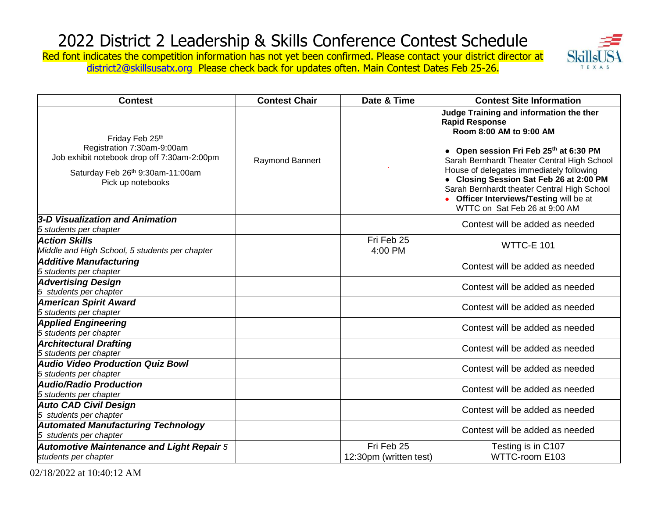Skil TEXAS

Red font indicates the competition information has not yet been confirmed. Please contact your district director at [district2@skillsusatx.org](mailto:district2@skillsusatx.org) Please check back for updates often. Main Contest Dates Feb 25-26.

| <b>Contest</b>                                                                                                                                        | <b>Contest Chair</b> | Date & Time                          | <b>Contest Site Information</b>                                                                                                                                                                                                                                                                                                                                                                        |
|-------------------------------------------------------------------------------------------------------------------------------------------------------|----------------------|--------------------------------------|--------------------------------------------------------------------------------------------------------------------------------------------------------------------------------------------------------------------------------------------------------------------------------------------------------------------------------------------------------------------------------------------------------|
| Friday Feb 25th<br>Registration 7:30am-9:00am<br>Job exhibit notebook drop off 7:30am-2:00pm<br>Saturday Feb 26th 9:30am-11:00am<br>Pick up notebooks | Raymond Bannert      |                                      | Judge Training and information the ther<br><b>Rapid Response</b><br>Room 8:00 AM to 9:00 AM<br>• Open session Fri Feb 25th at 6:30 PM<br>Sarah Bernhardt Theater Central High School<br>House of delegates immediately following<br>• Closing Session Sat Feb 26 at 2:00 PM<br>Sarah Bernhardt theater Central High School<br>• Officer Interviews/Testing will be at<br>WTTC on Sat Feb 26 at 9:00 AM |
| 3-D Visualization and Animation                                                                                                                       |                      |                                      | Contest will be added as needed                                                                                                                                                                                                                                                                                                                                                                        |
| 5 students per chapter                                                                                                                                |                      |                                      |                                                                                                                                                                                                                                                                                                                                                                                                        |
| <b>Action Skills</b><br>Middle and High School, 5 students per chapter                                                                                |                      | Fri Feb 25<br>4:00 PM                | <b>WTTC-E 101</b>                                                                                                                                                                                                                                                                                                                                                                                      |
| <b>Additive Manufacturing</b><br>5 students per chapter                                                                                               |                      |                                      | Contest will be added as needed                                                                                                                                                                                                                                                                                                                                                                        |
| <b>Advertising Design</b><br>5 students per chapter                                                                                                   |                      |                                      | Contest will be added as needed                                                                                                                                                                                                                                                                                                                                                                        |
| <b>American Spirit Award</b><br>5 students per chapter                                                                                                |                      |                                      | Contest will be added as needed                                                                                                                                                                                                                                                                                                                                                                        |
| <b>Applied Engineering</b><br>5 students per chapter                                                                                                  |                      |                                      | Contest will be added as needed                                                                                                                                                                                                                                                                                                                                                                        |
| <b>Architectural Drafting</b><br>5 students per chapter                                                                                               |                      |                                      | Contest will be added as needed                                                                                                                                                                                                                                                                                                                                                                        |
| <b>Audio Video Production Quiz Bowl</b><br>5 students per chapter                                                                                     |                      |                                      | Contest will be added as needed                                                                                                                                                                                                                                                                                                                                                                        |
| <b>Audio/Radio Production</b><br>5 students per chapter                                                                                               |                      |                                      | Contest will be added as needed                                                                                                                                                                                                                                                                                                                                                                        |
| <b>Auto CAD Civil Design</b><br>5 students per chapter                                                                                                |                      |                                      | Contest will be added as needed                                                                                                                                                                                                                                                                                                                                                                        |
| <b>Automated Manufacturing Technology</b><br>5 students per chapter                                                                                   |                      |                                      | Contest will be added as needed                                                                                                                                                                                                                                                                                                                                                                        |
| <b>Automotive Maintenance and Light Repair 5</b><br>students per chapter                                                                              |                      | Fri Feb 25<br>12:30pm (written test) | Testing is in C107<br>WTTC-room E103                                                                                                                                                                                                                                                                                                                                                                   |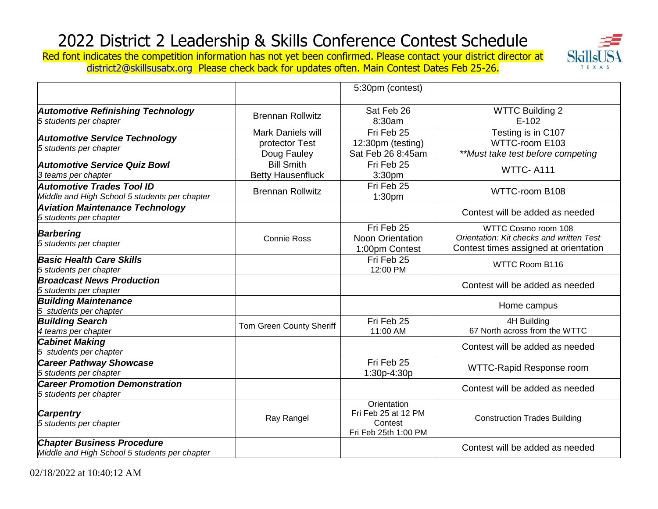Red font indicates the competition information has not yet been confirmed. Please contact your district director at [district2@skillsusatx.org](mailto:district2@skillsusatx.org) Please check back for updates often. Main Contest Dates Feb 25-26.



|                                                                                    |                                                    | 5:30pm (contest)                                                      |                                                                                                          |
|------------------------------------------------------------------------------------|----------------------------------------------------|-----------------------------------------------------------------------|----------------------------------------------------------------------------------------------------------|
| <b>Automotive Refinishing Technology</b><br>5 students per chapter                 | <b>Brennan Rollwitz</b>                            | Sat Feb 26<br>8:30am                                                  | <b>WTTC Building 2</b><br>$E-102$                                                                        |
| <b>Automotive Service Technology</b><br>5 students per chapter                     | Mark Daniels will<br>protector Test<br>Doug Fauley | Fri Feb 25<br>12:30pm (testing)<br>Sat Feb 26 8:45am                  | Testing is in C107<br>WTTC-room E103<br>**Must take test before competing                                |
| <b>Automotive Service Quiz Bowl</b><br>3 teams per chapter                         | <b>Bill Smith</b><br><b>Betty Hausenfluck</b>      | Fri Feb 25<br>3:30pm                                                  | <b>WTTC-A111</b>                                                                                         |
| <b>Automotive Trades Tool ID</b><br>Middle and High School 5 students per chapter  | <b>Brennan Rollwitz</b>                            | Fri Feb 25<br>1:30pm                                                  | WTTC-room B108                                                                                           |
| <b>Aviation Maintenance Technology</b><br>5 students per chapter                   |                                                    |                                                                       | Contest will be added as needed                                                                          |
| <b>Barbering</b><br>5 students per chapter                                         | <b>Connie Ross</b>                                 | Fri Feb 25<br><b>Noon Orientation</b><br>1:00pm Contest               | WTTC Cosmo room 108<br>Orientation: Kit checks and written Test<br>Contest times assigned at orientation |
| <b>Basic Health Care Skills</b><br>5 students per chapter                          |                                                    | Fri Feb 25<br>12:00 PM                                                | <b>WTTC Room B116</b>                                                                                    |
| <b>Broadcast News Production</b><br>5 students per chapter                         |                                                    |                                                                       | Contest will be added as needed                                                                          |
| <b>Building Maintenance</b><br>5 students per chapter                              |                                                    |                                                                       | Home campus                                                                                              |
| <b>Building Search</b><br>4 teams per chapter                                      | Tom Green County Sheriff                           | Fri Feb 25<br>11:00 AM                                                | 4H Building<br>67 North across from the WTTC                                                             |
| <b>Cabinet Making</b><br>5 students per chapter                                    |                                                    |                                                                       | Contest will be added as needed                                                                          |
| <b>Career Pathway Showcase</b><br>5 students per chapter                           |                                                    | Fri Feb 25<br>1:30p-4:30p                                             | WTTC-Rapid Response room                                                                                 |
| <b>Career Promotion Demonstration</b><br>5 students per chapter                    |                                                    |                                                                       | Contest will be added as needed                                                                          |
| <b>Carpentry</b><br>5 students per chapter                                         | Ray Rangel                                         | Orientation<br>Fri Feb 25 at 12 PM<br>Contest<br>Fri Feb 25th 1:00 PM | <b>Construction Trades Building</b>                                                                      |
| <b>Chapter Business Procedure</b><br>Middle and High School 5 students per chapter |                                                    |                                                                       | Contest will be added as needed                                                                          |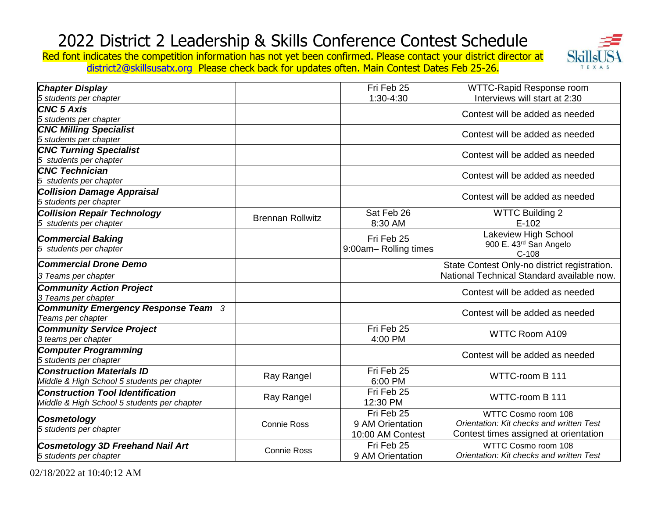

Red font indicates the competition information has not yet been confirmed. Please contact your district director at [district2@skillsusatx.org](mailto:district2@skillsusatx.org) Please check back for updates often. Main Contest Dates Feb 25-26.

| <b>Chapter Display</b>                      |                         | Fri Feb 25           | WTTC-Rapid Response room                     |
|---------------------------------------------|-------------------------|----------------------|----------------------------------------------|
| 5 students per chapter                      |                         | 1:30-4:30            | Interviews will start at 2:30                |
| <b>CNC 5 Axis</b>                           |                         |                      | Contest will be added as needed              |
| 5 students per chapter                      |                         |                      |                                              |
| <b>CNC Milling Specialist</b>               |                         |                      | Contest will be added as needed              |
| 5 students per chapter                      |                         |                      |                                              |
| <b>CNC Turning Specialist</b>               |                         |                      | Contest will be added as needed              |
| 5 students per chapter                      |                         |                      |                                              |
| <b>CNC Technician</b>                       |                         |                      | Contest will be added as needed              |
| 5 students per chapter                      |                         |                      |                                              |
| <b>Collision Damage Appraisal</b>           |                         |                      | Contest will be added as needed              |
| 5 students per chapter                      |                         |                      |                                              |
| <b>Collision Repair Technology</b>          | <b>Brennan Rollwitz</b> | Sat Feb 26           | <b>WTTC Building 2</b>                       |
| students per chapter<br>5                   |                         | 8:30 AM              | $E-102$                                      |
| <b>Commercial Baking</b>                    |                         | Fri Feb 25           | Lakeview High School                         |
| 5 students per chapter                      |                         | 9:00am-Rolling times | 900 E. 43rd San Angelo                       |
|                                             |                         |                      | $C-108$                                      |
| <b>Commercial Drone Demo</b>                |                         |                      | State Contest Only-no district registration. |
| 3 Teams per chapter                         |                         |                      | National Technical Standard available now.   |
| <b>Community Action Project</b>             |                         |                      | Contest will be added as needed              |
| 3 Teams per chapter                         |                         |                      |                                              |
| <b>Community Emergency Response Team 3</b>  |                         |                      | Contest will be added as needed              |
| Teams per chapter                           |                         |                      |                                              |
| <b>Community Service Project</b>            |                         | Fri Feb 25           | <b>WTTC Room A109</b>                        |
| 3 teams per chapter                         |                         | 4:00 PM              |                                              |
| <b>Computer Programming</b>                 |                         |                      | Contest will be added as needed              |
| 5 students per chapter                      |                         |                      |                                              |
| <b>Construction Materials ID</b>            | Ray Rangel              | Fri Feb 25           | WTTC-room B 111                              |
| Middle & High School 5 students per chapter |                         | 6:00 PM              |                                              |
| <b>Construction Tool Identification</b>     | Ray Rangel              | Fri Feb 25           | WTTC-room B 111                              |
| Middle & High School 5 students per chapter |                         | 12:30 PM             |                                              |
| <b>Cosmetology</b>                          |                         | Fri Feb 25           | WTTC Cosmo room 108                          |
| 5 students per chapter                      | <b>Connie Ross</b>      | 9 AM Orientation     | Orientation: Kit checks and written Test     |
|                                             |                         | 10:00 AM Contest     | Contest times assigned at orientation        |
| Cosmetology 3D Freehand Nail Art            | Connie Ross             | Fri Feb 25           | WTTC Cosmo room 108                          |
| 5 students per chapter                      |                         | 9 AM Orientation     | Orientation: Kit checks and written Test     |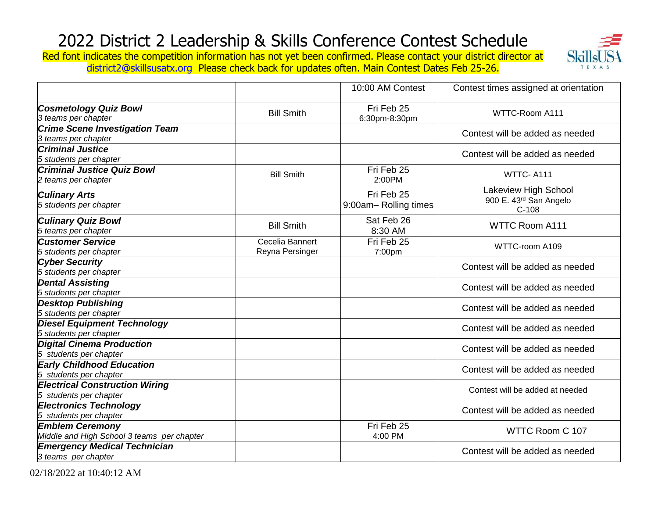Red font indicates the competition information has not yet been confirmed. Please contact your district director at Skil [district2@skillsusatx.org](mailto:district2@skillsusatx.org) Please check back for updates often. Main Contest Dates Feb 25-26.



|                                                                      |                                    | 10:00 AM Contest                   | Contest times assigned at orientation                     |
|----------------------------------------------------------------------|------------------------------------|------------------------------------|-----------------------------------------------------------|
| <b>Cosmetology Quiz Bowl</b><br>3 teams per chapter                  | <b>Bill Smith</b>                  | Fri Feb 25<br>6:30pm-8:30pm        | WTTC-Room A111                                            |
| <b>Crime Scene Investigation Team</b><br>3 teams per chapter         |                                    |                                    | Contest will be added as needed                           |
| <b>Criminal Justice</b><br>5 students per chapter                    |                                    |                                    | Contest will be added as needed                           |
| <b>Criminal Justice Quiz Bowl</b><br>2 teams per chapter             | <b>Bill Smith</b>                  | Fri Feb 25<br>2:00PM               | WTTC-A111                                                 |
| <b>Culinary Arts</b><br>5 students per chapter                       |                                    | Fri Feb 25<br>9:00am-Rolling times | Lakeview High School<br>900 E. 43rd San Angelo<br>$C-108$ |
| <b>Culinary Quiz Bowl</b><br>5 teams per chapter                     | <b>Bill Smith</b>                  | Sat Feb 26<br>8:30 AM              | <b>WTTC Room A111</b>                                     |
| <b>Customer Service</b><br>5 students per chapter                    | Cecelia Bannert<br>Reyna Persinger | Fri Feb 25<br>7:00pm               | WTTC-room A109                                            |
| <b>Cyber Security</b><br>5 students per chapter                      |                                    |                                    | Contest will be added as needed                           |
| <b>Dental Assisting</b><br>5 students per chapter                    |                                    |                                    | Contest will be added as needed                           |
| <b>Desktop Publishing</b><br>5 students per chapter                  |                                    |                                    | Contest will be added as needed                           |
| <b>Diesel Equipment Technology</b><br>5 students per chapter         |                                    |                                    | Contest will be added as needed                           |
| <b>Digital Cinema Production</b><br>5 students per chapter           |                                    |                                    | Contest will be added as needed                           |
| <b>Early Childhood Education</b><br>5 students per chapter           |                                    |                                    | Contest will be added as needed                           |
| <b>Electrical Construction Wiring</b><br>5 students per chapter      |                                    |                                    | Contest will be added at needed                           |
| <b>Electronics Technology</b><br>5 students per chapter              |                                    |                                    | Contest will be added as needed                           |
| <b>Emblem Ceremony</b><br>Middle and High School 3 teams per chapter |                                    | Fri Feb 25<br>4:00 PM              | WTTC Room C 107                                           |
| <b>Emergency Medical Technician</b><br>3 teams per chapter           |                                    |                                    | Contest will be added as needed                           |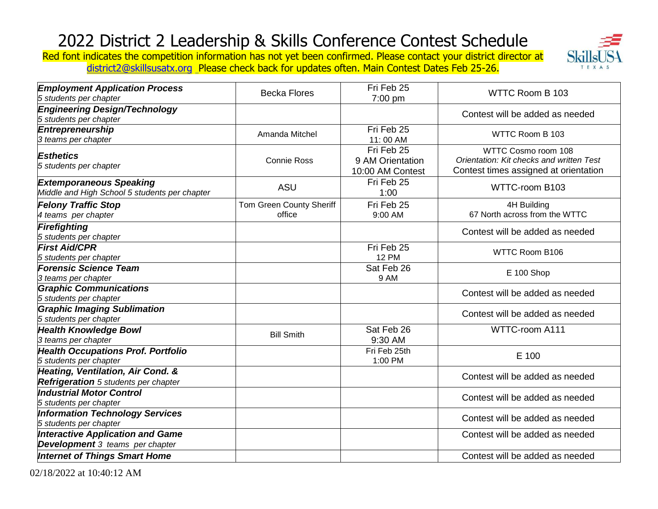Skil TEXAS

Red font indicates the competition information has not yet been confirmed. Please contact your district director at [district2@skillsusatx.org](mailto:district2@skillsusatx.org) Please check back for updates often. Main Contest Dates Feb 25-26.

| <b>Employment Application Process</b><br>5 students per chapter                   | <b>Becka Flores</b>                | Fri Feb 25<br>7:00 pm                              | WTTC Room B 103                                                                                          |
|-----------------------------------------------------------------------------------|------------------------------------|----------------------------------------------------|----------------------------------------------------------------------------------------------------------|
| <b>Engineering Design/Technology</b><br>5 students per chapter                    |                                    |                                                    | Contest will be added as needed                                                                          |
| <b>Entrepreneurship</b><br>3 teams per chapter                                    | Amanda Mitchel                     | Fri Feb 25<br>11:00 AM                             | WTTC Room B 103                                                                                          |
| <b>Esthetics</b><br>5 students per chapter                                        | <b>Connie Ross</b>                 | Fri Feb 25<br>9 AM Orientation<br>10:00 AM Contest | WTTC Cosmo room 108<br>Orientation: Kit checks and written Test<br>Contest times assigned at orientation |
| <b>Extemporaneous Speaking</b><br>Middle and High School 5 students per chapter   | <b>ASU</b>                         | Fri Feb 25<br>1:00                                 | WTTC-room B103                                                                                           |
| <b>Felony Traffic Stop</b><br>4 teams per chapter                                 | Tom Green County Sheriff<br>office | Fri Feb 25<br>9:00 AM                              | 4H Building<br>67 North across from the WTTC                                                             |
| Firefighting<br>5 students per chapter                                            |                                    |                                                    | Contest will be added as needed                                                                          |
| <b>First Aid/CPR</b><br>5 students per chapter                                    |                                    | Fri Feb 25<br><b>12 PM</b>                         | WTTC Room B106                                                                                           |
| <b>Forensic Science Team</b><br>3 teams per chapter                               |                                    | Sat Feb 26<br>9 AM                                 | E 100 Shop                                                                                               |
| <b>Graphic Communications</b><br>5 students per chapter                           |                                    |                                                    | Contest will be added as needed                                                                          |
| <b>Graphic Imaging Sublimation</b><br>5 students per chapter                      |                                    |                                                    | Contest will be added as needed                                                                          |
| <b>Health Knowledge Bowl</b><br>3 teams per chapter                               | <b>Bill Smith</b>                  | Sat Feb 26<br>9:30 AM                              | WTTC-room A111                                                                                           |
| <b>Health Occupations Prof. Portfolio</b><br>5 students per chapter               |                                    | Fri Feb 25th<br>1:00 PM                            | E 100                                                                                                    |
| Heating, Ventilation, Air Cond. &<br><b>Refrigeration</b> 5 students per chapter  |                                    |                                                    | Contest will be added as needed                                                                          |
| <b>Industrial Motor Control</b><br>5 students per chapter                         |                                    |                                                    | Contest will be added as needed                                                                          |
| <b>Information Technology Services</b><br>5 students per chapter                  |                                    |                                                    | Contest will be added as needed                                                                          |
| <b>Interactive Application and Game</b><br><b>Development</b> 3 teams per chapter |                                    |                                                    | Contest will be added as needed                                                                          |
| <b>Internet of Things Smart Home</b>                                              |                                    |                                                    | Contest will be added as needed                                                                          |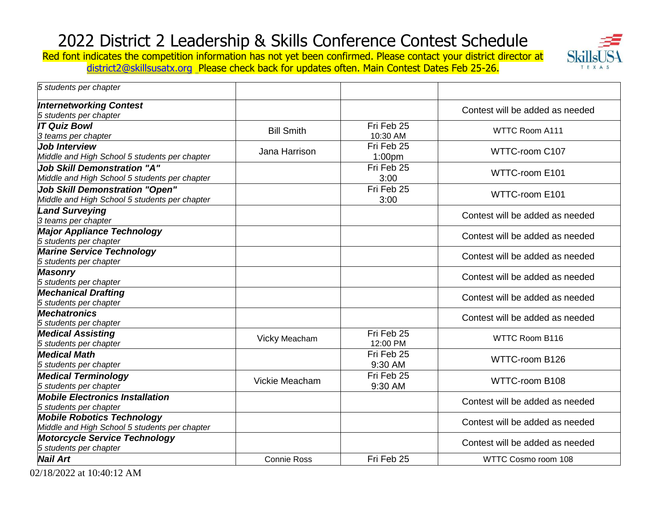Skil TEXAS

Red font indicates the competition information has not yet been confirmed. Please contact your district director at [district2@skillsusatx.org](mailto:district2@skillsusatx.org) Please check back for updates often. Main Contest Dates Feb 25-26.

| 5 students per chapter                                                                 |                    |                        |                                 |
|----------------------------------------------------------------------------------------|--------------------|------------------------|---------------------------------|
| <b>Internetworking Contest</b><br>5 students per chapter                               |                    |                        | Contest will be added as needed |
| <b>IT Quiz Bowl</b><br>3 teams per chapter                                             | <b>Bill Smith</b>  | Fri Feb 25<br>10:30 AM | WTTC Room A111                  |
| <b>Job Interview</b><br>Middle and High School 5 students per chapter                  | Jana Harrison      | Fri Feb 25<br>1:00pm   | WTTC-room C107                  |
| <b>Job Skill Demonstration "A"</b><br>Middle and High School 5 students per chapter    |                    | Fri Feb 25<br>3:00     | WTTC-room E101                  |
| <b>Job Skill Demonstration "Open"</b><br>Middle and High School 5 students per chapter |                    | Fri Feb 25<br>3:00     | WTTC-room E101                  |
| <b>Land Surveying</b><br>3 teams per chapter                                           |                    |                        | Contest will be added as needed |
| <b>Major Appliance Technology</b><br>5 students per chapter                            |                    |                        | Contest will be added as needed |
| <b>Marine Service Technology</b><br>5 students per chapter                             |                    |                        | Contest will be added as needed |
| <b>Masonry</b><br>5 students per chapter                                               |                    |                        | Contest will be added as needed |
| <b>Mechanical Drafting</b><br>5 students per chapter                                   |                    |                        | Contest will be added as needed |
| <b>Mechatronics</b><br>5 students per chapter                                          |                    |                        | Contest will be added as needed |
| <b>Medical Assisting</b><br>5 students per chapter                                     | Vicky Meacham      | Fri Feb 25<br>12:00 PM | WTTC Room B116                  |
| <b>Medical Math</b><br>5 students per chapter                                          |                    | Fri Feb 25<br>9:30 AM  | WTTC-room B126                  |
| <b>Medical Terminology</b><br>5 students per chapter                                   | Vickie Meacham     | Fri Feb 25<br>9:30 AM  | WTTC-room B108                  |
| <b>Mobile Electronics Installation</b><br>5 students per chapter                       |                    |                        | Contest will be added as needed |
| <b>Mobile Robotics Technology</b><br>Middle and High School 5 students per chapter     |                    |                        | Contest will be added as needed |
| <b>Motorcycle Service Technology</b><br>5 students per chapter                         |                    |                        | Contest will be added as needed |
| <b>Nail Art</b>                                                                        | <b>Connie Ross</b> | Fri Feb 25             | WTTC Cosmo room 108             |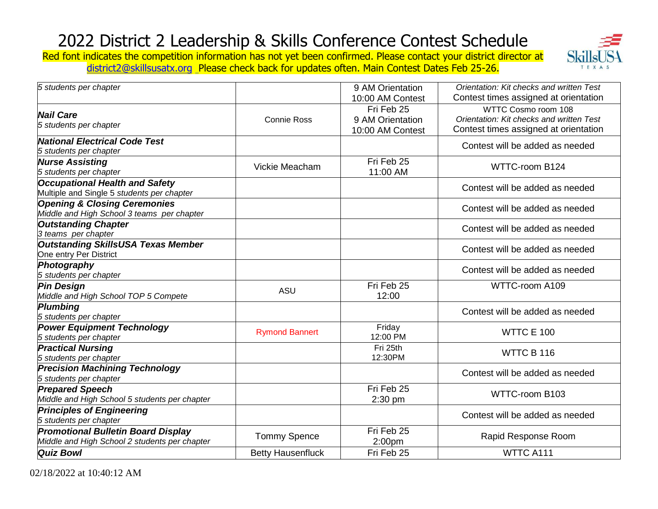

Red font indicates the competition information has not yet been confirmed. Please contact your district director at [district2@skillsusatx.org](mailto:district2@skillsusatx.org) Please check back for updates often. Main Contest Dates Feb 25-26.

| 5 students per chapter                                                                     |                          | 9 AM Orientation<br>10:00 AM Contest               | Orientation: Kit checks and written Test<br>Contest times assigned at orientation                        |
|--------------------------------------------------------------------------------------------|--------------------------|----------------------------------------------------|----------------------------------------------------------------------------------------------------------|
| <b>Nail Care</b><br>5 students per chapter                                                 | <b>Connie Ross</b>       | Fri Feb 25<br>9 AM Orientation<br>10:00 AM Contest | WTTC Cosmo room 108<br>Orientation: Kit checks and written Test<br>Contest times assigned at orientation |
| National Electrical Code Test<br>5 students per chapter                                    |                          |                                                    | Contest will be added as needed                                                                          |
| <b>Nurse Assisting</b><br>5 students per chapter                                           | Vickie Meacham           | Fri Feb 25<br>11:00 AM                             | WTTC-room B124                                                                                           |
| <b>Occupational Health and Safety</b><br>Multiple and Single 5 students per chapter        |                          |                                                    | Contest will be added as needed                                                                          |
| <b>Opening &amp; Closing Ceremonies</b><br>Middle and High School 3 teams per chapter      |                          |                                                    | Contest will be added as needed                                                                          |
| <b>Outstanding Chapter</b><br>3 teams per chapter                                          |                          |                                                    | Contest will be added as needed                                                                          |
| <b>Outstanding SkillsUSA Texas Member</b><br>One entry Per District                        |                          |                                                    | Contest will be added as needed                                                                          |
| Photography<br>5 students per chapter                                                      |                          |                                                    | Contest will be added as needed                                                                          |
| <b>Pin Design</b><br>Middle and High School TOP 5 Compete                                  | ASU                      | Fri Feb 25<br>12:00                                | WTTC-room A109                                                                                           |
| Plumbing<br>5 students per chapter                                                         |                          |                                                    | Contest will be added as needed                                                                          |
| <b>Power Equipment Technology</b><br>5 students per chapter                                | <b>Rymond Bannert</b>    | Friday<br>12:00 PM                                 | <b>WTTC E 100</b>                                                                                        |
| <b>Practical Nursing</b><br>5 students per chapter                                         |                          | Fri 25th<br>12:30PM                                | WTTC B 116                                                                                               |
| <b>Precision Machining Technology</b><br>5 students per chapter                            |                          |                                                    | Contest will be added as needed                                                                          |
| <b>Prepared Speech</b><br>Middle and High School 5 students per chapter                    |                          | Fri Feb 25<br>$2:30$ pm                            | WTTC-room B103                                                                                           |
| <b>Principles of Engineering</b><br>5 students per chapter                                 |                          |                                                    | Contest will be added as needed                                                                          |
| <b>Promotional Bulletin Board Display</b><br>Middle and High School 2 students per chapter | <b>Tommy Spence</b>      | Fri Feb 25<br>2:00 <sub>pm</sub>                   | Rapid Response Room                                                                                      |
| <b>Quiz Bowl</b>                                                                           | <b>Betty Hausenfluck</b> | Fri Feb 25                                         | WTTC A111                                                                                                |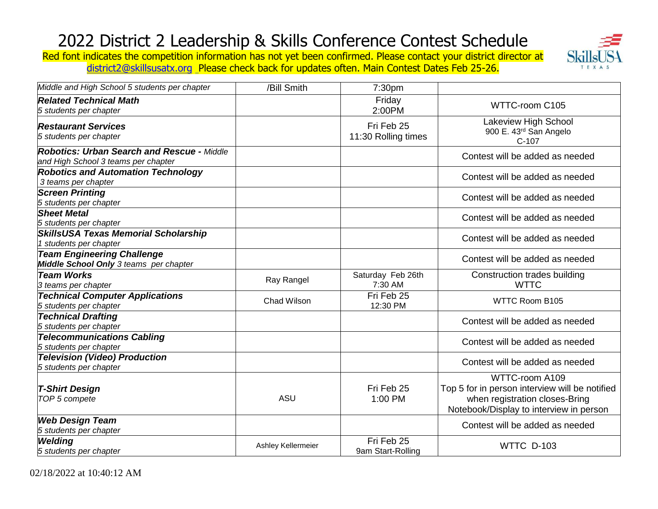

Red font indicates the competition information has not yet been confirmed. Please contact your district director at [district2@skillsusatx.org](mailto:district2@skillsusatx.org) Please check back for updates often. Main Contest Dates Feb 25-26.

| Middle and High School 5 students per chapter                                            | /Bill Smith        | 7:30 <sub>pm</sub>                |                                                                                                                                               |
|------------------------------------------------------------------------------------------|--------------------|-----------------------------------|-----------------------------------------------------------------------------------------------------------------------------------------------|
| <b>Related Technical Math</b><br>5 students per chapter                                  |                    | Friday<br>2:00PM                  | WTTC-room C105                                                                                                                                |
| <b>Restaurant Services</b><br>5 students per chapter                                     |                    | Fri Feb 25<br>11:30 Rolling times | Lakeview High School<br>900 E. 43rd San Angelo<br>$C-107$                                                                                     |
| <b>Robotics: Urban Search and Rescue - Middle</b><br>and High School 3 teams per chapter |                    |                                   | Contest will be added as needed                                                                                                               |
| <b>Robotics and Automation Technology</b><br>3 teams per chapter                         |                    |                                   | Contest will be added as needed                                                                                                               |
| <b>Screen Printing</b><br>5 students per chapter                                         |                    |                                   | Contest will be added as needed                                                                                                               |
| <b>Sheet Metal</b><br>5 students per chapter                                             |                    |                                   | Contest will be added as needed                                                                                                               |
| <b>SkillsUSA Texas Memorial Scholarship</b><br>1 students per chapter                    |                    |                                   | Contest will be added as needed                                                                                                               |
| <b>Team Engineering Challenge</b><br>Middle School Only 3 teams per chapter              |                    |                                   | Contest will be added as needed                                                                                                               |
| <b>Team Works</b><br>3 teams per chapter                                                 | Ray Rangel         | Saturday Feb 26th<br>7:30 AM      | Construction trades building<br><b>WTTC</b>                                                                                                   |
| <b>Technical Computer Applications</b><br>5 students per chapter                         | Chad Wilson        | Fri Feb 25<br>12:30 PM            | WTTC Room B105                                                                                                                                |
| <b>Technical Drafting</b><br>5 students per chapter                                      |                    |                                   | Contest will be added as needed                                                                                                               |
| <b>Telecommunications Cabling</b><br>5 students per chapter                              |                    |                                   | Contest will be added as needed                                                                                                               |
| <b>Television (Video) Production</b><br>5 students per chapter                           |                    |                                   | Contest will be added as needed                                                                                                               |
| <b>T-Shirt Design</b><br>TOP 5 compete                                                   | ASU                | Fri Feb 25<br>1:00 PM             | WTTC-room A109<br>Top 5 for in person interview will be notified<br>when registration closes-Bring<br>Notebook/Display to interview in person |
| <b>Web Design Team</b><br>5 students per chapter                                         |                    |                                   | Contest will be added as needed                                                                                                               |
| <b>Welding</b><br>5 students per chapter                                                 | Ashley Kellermeier | Fri Feb 25<br>9am Start-Rolling   | <b>WTTC D-103</b>                                                                                                                             |